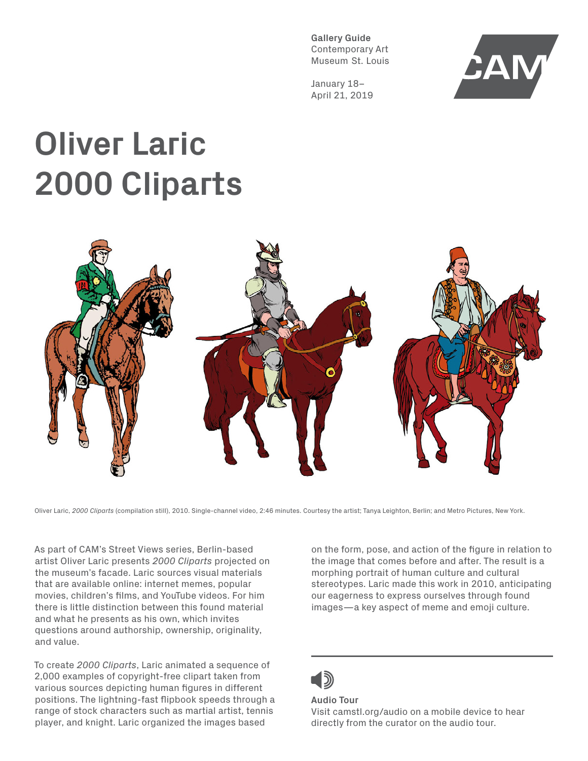**Gallery Guide** Contemporary Art Museum St. Louis

January 18– April 21, 2019



## **Oliver Laric 2000 Cliparts**



Oliver Laric, *2000 Cliparts* (compilation still), 2010. Single-channel video, 2:46 minutes. Courtesy the artist; Tanya Leighton, Berlin; and Metro Pictures, New York.

As part of CAM's Street Views series, Berlin-based artist Oliver Laric presents *2000 Cliparts* projected on the museum's facade. Laric sources visual materials that are available online: internet memes, popular movies, children's films, and YouTube videos. For him there is little distinction between this found material and what he presents as his own, which invites questions around authorship, ownership, originality, and value.

To create *2000 Cliparts*, Laric animated a sequence of 2,000 examples of copyright-free clipart taken from various sources depicting human figures in different positions. The lightning-fast flipbook speeds through a range of stock characters such as martial artist, tennis player, and knight. Laric organized the images based

on the form, pose, and action of the figure in relation to the image that comes before and after. The result is a morphing portrait of human culture and cultural stereotypes. Laric made this work in 2010, anticipating our eagerness to express ourselves through found images—a key aspect of meme and emoji culture.

## **Audio Tour** Visit camstl.org/audio on a mobile device to hear directly from the curator on the audio tour.